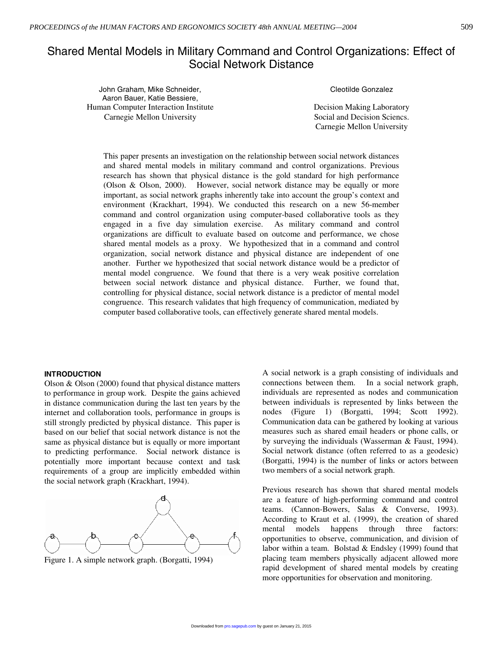# Shared Mental Models in Military Command and Control Organizations: Effect of Social Network Distance

John Graham, Mike Schneider, Aaron Bauer, Katie Bessiere, Human Computer Interaction Institute Decision Making Laboratory Carnegie Mellon University Social and Decision Sciencs.

Cleotilde Gonzalez

Carnegie Mellon University

This paper presents an investigation on the relationship between social network distances and shared mental models in military command and control organizations. Previous research has shown that physical distance is the gold standard for high performance (Olson & Olson, 2000). However, social network distance may be equally or more important, as social network graphs inherently take into account the group's context and environment (Krackhart, 1994). We conducted this research on a new 56-member command and control organization using computer-based collaborative tools as they engaged in a five day simulation exercise. As military command and control organizations are difficult to evaluate based on outcome and performance, we chose shared mental models as a proxy. We hypothesized that in a command and control organization, social network distance and physical distance are independent of one another. Further we hypothesized that social network distance would be a predictor of mental model congruence. We found that there is a very weak positive correlation between social network distance and physical distance. Further, we found that, controlling for physical distance, social network distance is a predictor of mental model congruence. This research validates that high frequency of communication, mediated by computer based collaborative tools, can effectively generate shared mental models.

# **INTRODUCTION**

Olson & Olson (2000) found that physical distance matters to performance in group work. Despite the gains achieved in distance communication during the last ten years by the internet and collaboration tools, performance in groups is still strongly predicted by physical distance. This paper is based on our belief that social network distance is not the same as physical distance but is equally or more important to predicting performance. Social network distance is potentially more important because context and task requirements of a group are implicitly embedded within the social network graph (Krackhart, 1994).



Figure 1. A simple network graph. (Borgatti, 1994)

A social network is a graph consisting of individuals and connections between them. In a social network graph, individuals are represented as nodes and communication between individuals is represented by links between the nodes (Figure 1) (Borgatti, 1994; Scott 1992). Communication data can be gathered by looking at various measures such as shared email headers or phone calls, or by surveying the individuals (Wasserman & Faust, 1994). Social network distance (often referred to as a geodesic) (Borgatti, 1994) is the number of links or actors between two members of a social network graph.

Previous research has shown that shared mental models are a feature of high-performing command and control teams. (Cannon-Bowers, Salas & Converse, 1993). According to Kraut et al. (1999), the creation of shared mental models happens through three factors: opportunities to observe, communication, and division of labor within a team. Bolstad  $&$  Endsley (1999) found that placing team members physically adjacent allowed more rapid development of shared mental models by creating more opportunities for observation and monitoring.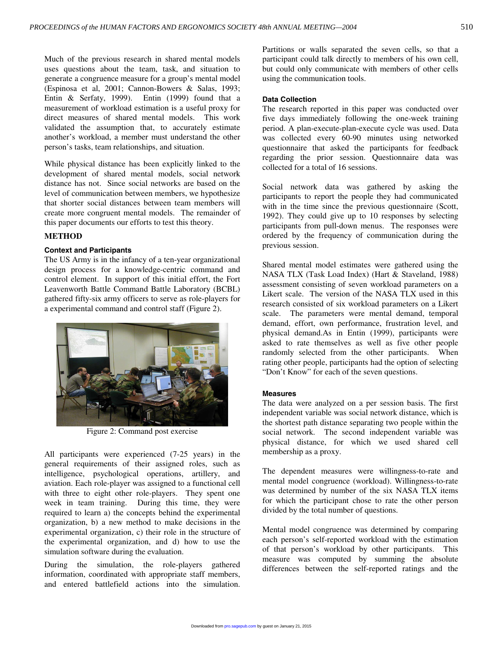Much of the previous research in shared mental models uses questions about the team, task, and situation to generate a congruence measure for a group's mental model (Espinosa et al, 2001; Cannon-Bowers & Salas, 1993; Entin & Serfaty, 1999). Entin (1999) found that a measurement of workload estimation is a useful proxy for direct measures of shared mental models. This work validated the assumption that, to accurately estimate another's workload, a member must understand the other person's tasks, team relationships, and situation.

While physical distance has been explicitly linked to the development of shared mental models, social network distance has not. Since social networks are based on the level of communication between members, we hypothesize that shorter social distances between team members will create more congruent mental models. The remainder of this paper documents our efforts to test this theory.

# **METHOD**

## **Context and Participants**

The US Army is in the infancy of a ten-year organizational design process for a knowledge-centric command and control element. In support of this initial effort, the Fort Leavenworth Battle Command Battle Laboratory (BCBL) gathered fifty-six army officers to serve as role-players for a experimental command and control staff (Figure 2).



Figure 2: Command post exercise

All participants were experienced (7-25 years) in the general requirements of their assigned roles, such as intelligence, psychological operations, artillery, and aviation. Each role-player was assigned to a functional cell with three to eight other role-players. They spent one week in team training. During this time, they were required to learn a) the concepts behind the experimental organization, b) a new method to make decisions in the experimental organization, c) their role in the structure of the experimental organization, and d) how to use the simulation software during the evaluation.

During the simulation, the role-players gathered information, coordinated with appropriate staff members, and entered battlefield actions into the simulation. Partitions or walls separated the seven cells, so that a participant could talk directly to members of his own cell, but could only communicate with members of other cells using the communication tools.

# **Data Collection**

The research reported in this paper was conducted over five days immediately following the one-week training period. A plan-execute-plan-execute cycle was used. Data was collected every 60-90 minutes using networked questionnaire that asked the participants for feedback regarding the prior session. Questionnaire data was collected for a total of 16 sessions.

Social network data was gathered by asking the participants to report the people they had communicated with in the time since the previous questionnaire (Scott, 1992). They could give up to 10 responses by selecting participants from pull-down menus. The responses were ordered by the frequency of communication during the previous session.

Shared mental model estimates were gathered using the NASA TLX (Task Load Index) (Hart & Staveland, 1988) assessment consisting of seven workload parameters on a Likert scale. The version of the NASA TLX used in this research consisted of six workload parameters on a Likert scale. The parameters were mental demand, temporal demand, effort, own performance, frustration level, and physical demand.As in Entin (1999), participants were asked to rate themselves as well as five other people randomly selected from the other participants. When rating other people, participants had the option of selecting "Don't Know" for each of the seven questions.

## **Measures**

The data were analyzed on a per session basis. The first independent variable was social network distance, which is the shortest path distance separating two people within the social network. The second independent variable was physical distance, for which we used shared cell membership as a proxy.

The dependent measures were willingness-to-rate and mental model congruence (workload). Willingness-to-rate was determined by number of the six NASA TLX items for which the participant chose to rate the other person divided by the total number of questions.

Mental model congruence was determined by comparing each person's self-reported workload with the estimation of that person's workload by other participants. This measure was computed by summing the absolute differences between the self-reported ratings and the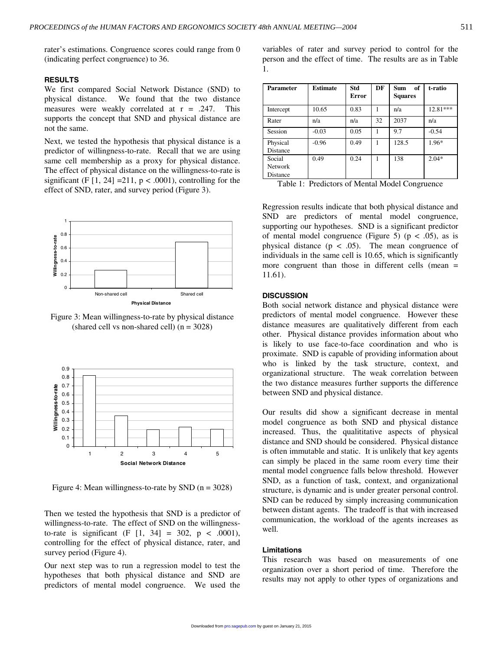rater's estimations. Congruence scores could range from 0 (indicating perfect congruence) to 36.

#### **RESULTS**

We first compared Social Network Distance (SND) to physical distance. We found that the two distance measures were weakly correlated at r = .247. This supports the concept that SND and physical distance are not the same.

Next, we tested the hypothesis that physical distance is a predictor of willingness-to-rate. Recall that we are using same cell membership as a proxy for physical distance. The effect of physical distance on the willingness-to-rate is significant (F  $[1, 24] = 211$ ,  $p < .0001$ ), controlling for the effect of SND, rater, and survey period (Figure 3).



Figure 3: Mean willingness-to-rate by physical distance (shared cell vs non-shared cell)  $(n = 3028)$ 



Figure 4: Mean willingness-to-rate by SND  $(n = 3028)$ 

Then we tested the hypothesis that SND is a predictor of willingness-to-rate. The effect of SND on the willingnessto-rate is significant (F  $[1, 34] = 302$ , p < .0001), controlling for the effect of physical distance, rater, and survey period (Figure 4).

Our next step was to run a regression model to test the hypotheses that both physical distance and SND are predictors of mental model congruence. We used the

variables of rater and survey period to control for the person and the effect of time. The results are as in Table 1.

| <b>Parameter</b>                     | <b>Estimate</b> | Std<br>Error | DF | of<br><b>Sum</b><br><b>Squares</b> | t-ratio  |
|--------------------------------------|-----------------|--------------|----|------------------------------------|----------|
| Intercept                            | 10.65           | 0.83         | 1  | n/a                                | 12.81*** |
| Rater                                | n/a             | n/a          | 32 | 2037                               | n/a      |
| Session                              | $-0.03$         | 0.05         | 1  | 9.7                                | $-0.54$  |
| Physical<br>Distance                 | $-0.96$         | 0.49         | 1  | 128.5                              | 1.96*    |
| Social<br><b>Network</b><br>Distance | 0.49            | 0.24         | 1  | 138                                | $2.04*$  |

|  |  | Table 1: Predictors of Mental Model Congruence |
|--|--|------------------------------------------------|
|  |  |                                                |

Regression results indicate that both physical distance and SND are predictors of mental model congruence, supporting our hypotheses. SND is a significant predictor of mental model congruence (Figure 5) ( $p < .05$ ), as is physical distance ( $p < .05$ ). The mean congruence of individuals in the same cell is 10.65, which is significantly more congruent than those in different cells (mean = 11.61).

## **DISCUSSION**

Both social network distance and physical distance were predictors of mental model congruence. However these distance measures are qualitatively different from each other. Physical distance provides information about who is likely to use face-to-face coordination and who is proximate. SND is capable of providing information about who is linked by the task structure, context, and organizational structure. The weak correlation between the two distance measures further supports the difference between SND and physical distance.

Our results did show a significant decrease in mental model congruence as both SND and physical distance increased. Thus, the qualititative aspects of physical distance and SND should be considered. Physical distance is often immutable and static. It is unlikely that key agents can simply be placed in the same room every time their mental model congruence falls below threshold. However SND, as a function of task, context, and organizational structure, is dynamic and is under greater personal control. SND can be reduced by simply increasing communication between distant agents. The tradeoff is that with increased communication, the workload of the agents increases as well.

#### **Limitations**

This research was based on measurements of one organization over a short period of time. Therefore the results may not apply to other types of organizations and